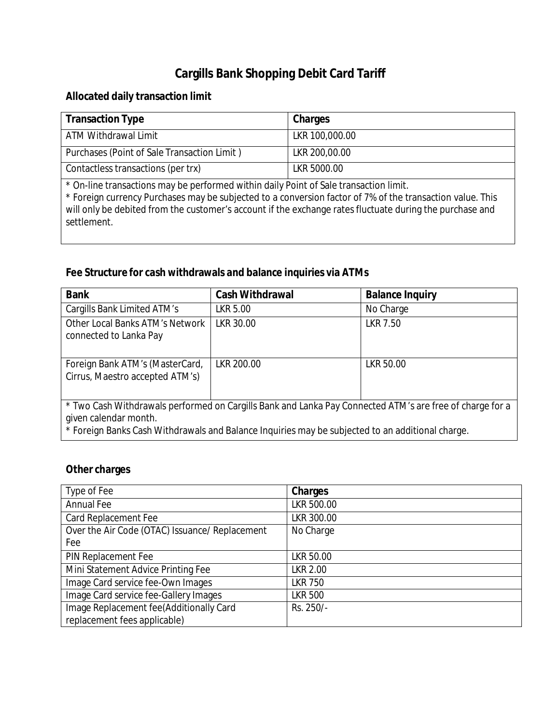## **Cargills Bank Shopping Debit Card Tariff**

## **Allocated daily transaction limit**

| Transaction Type                                                                      | Charges        |  |
|---------------------------------------------------------------------------------------|----------------|--|
| ATM Withdrawal Limit                                                                  | LKR 100,000.00 |  |
| Purchases (Point of Sale Transaction Limit)                                           | LKR 200,00.00  |  |
| Contactless transactions (per trx)                                                    | LKR 5000.00    |  |
| * On-line transactions may be performed within daily Point of Sale transaction limit. |                |  |

\* Foreign currency Purchases may be subjected to a conversion factor of 7% of the transaction value. This will only be debited from the customer's account if the exchange rates fluctuate during the purchase and settlement.

## **Fee Structure for cash withdrawals and balance inquiries via ATMs**

| <b>Bank</b>                                                                                                                                                                                                                           | <b>Cash Withdrawal</b> | <b>Balance Inquiry</b> |
|---------------------------------------------------------------------------------------------------------------------------------------------------------------------------------------------------------------------------------------|------------------------|------------------------|
| Cargills Bank Limited ATM's                                                                                                                                                                                                           | LKR 5.00               | No Charge              |
| Other Local Banks ATM's Network<br>connected to Lanka Pay                                                                                                                                                                             | LKR 30.00              | LKR 7.50               |
| Foreign Bank ATM's (MasterCard,<br>Cirrus, Maestro accepted ATM's)                                                                                                                                                                    | LKR 200.00             | LKR 50.00              |
| * Two Cash Withdrawals performed on Cargills Bank and Lanka Pay Connected ATM's are free of charge for a<br>given calendar month.<br>* Foreign Banks Cash Withdrawals and Balance Inquiries may be subjected to an additional charge. |                        |                        |

## **Other charges**

| Type of Fee                                    | <b>Charges</b> |
|------------------------------------------------|----------------|
| <b>Annual Fee</b>                              | LKR 500.00     |
| <b>Card Replacement Fee</b>                    | LKR 300.00     |
| Over the Air Code (OTAC) Issuance/ Replacement | No Charge      |
| Fee                                            |                |
| PIN Replacement Fee                            | LKR 50.00      |
| Mini Statement Advice Printing Fee             | LKR 2.00       |
| Image Card service fee-Own Images              | <b>LKR 750</b> |
| Image Card service fee-Gallery Images          | <b>LKR 500</b> |
| Image Replacement fee(Additionally Card        | Rs. 250/-      |
| replacement fees applicable)                   |                |